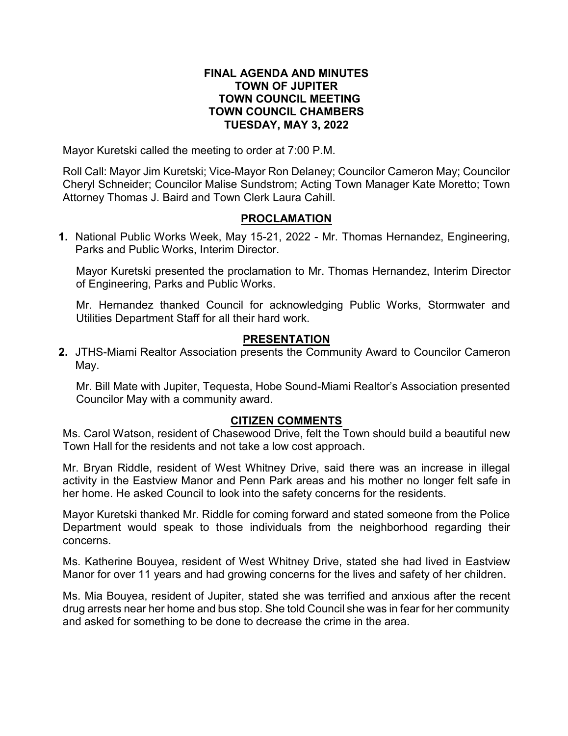### **FINAL AGENDA AND MINUTES TOWN OF JUPITER TOWN COUNCIL MEETING TOWN COUNCIL CHAMBERS TUESDAY, MAY 3, 2022**

Mayor Kuretski called the meeting to order at 7:00 P.M.

Roll Call: Mayor Jim Kuretski; Vice-Mayor Ron Delaney; Councilor Cameron May; Councilor Cheryl Schneider; Councilor Malise Sundstrom; Acting Town Manager Kate Moretto; Town Attorney Thomas J. Baird and Town Clerk Laura Cahill.

## **PROCLAMATION**

**1.** National Public Works Week, May 15-21, 2022 - Mr. Thomas Hernandez, Engineering, Parks and Public Works, Interim Director.

Mayor Kuretski presented the proclamation to Mr. Thomas Hernandez, Interim Director of Engineering, Parks and Public Works.

Mr. Hernandez thanked Council for acknowledging Public Works, Stormwater and Utilities Department Staff for all their hard work.

### **PRESENTATION**

**2.** JTHS-Miami Realtor Association presents the Community Award to Councilor Cameron May.

Mr. Bill Mate with Jupiter, Tequesta, Hobe Sound-Miami Realtor's Association presented Councilor May with a community award.

### **CITIZEN COMMENTS**

Ms. Carol Watson, resident of Chasewood Drive, felt the Town should build a beautiful new Town Hall for the residents and not take a low cost approach.

Mr. Bryan Riddle, resident of West Whitney Drive, said there was an increase in illegal activity in the Eastview Manor and Penn Park areas and his mother no longer felt safe in her home. He asked Council to look into the safety concerns for the residents.

Mayor Kuretski thanked Mr. Riddle for coming forward and stated someone from the Police Department would speak to those individuals from the neighborhood regarding their concerns.

Ms. Katherine Bouyea, resident of West Whitney Drive, stated she had lived in Eastview Manor for over 11 years and had growing concerns for the lives and safety of her children.

Ms. Mia Bouyea, resident of Jupiter, stated she was terrified and anxious after the recent drug arrests near her home and bus stop. She told Council she was in fear for her community and asked for something to be done to decrease the crime in the area.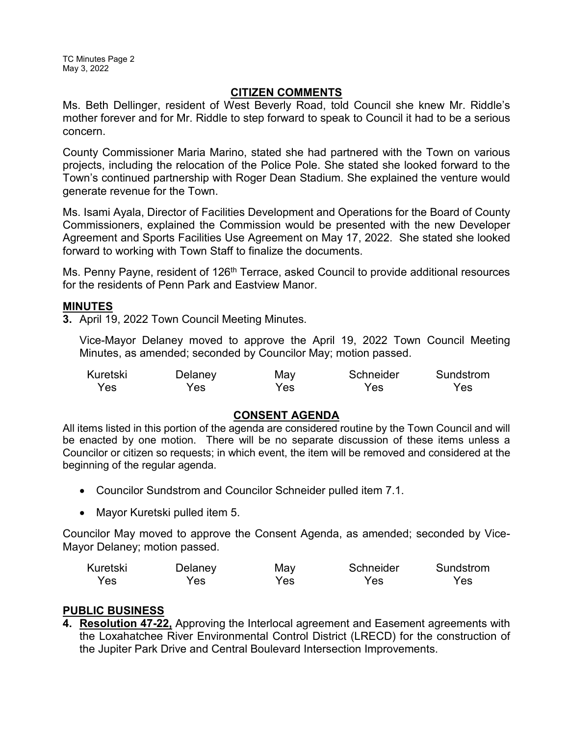TC Minutes Page 2 May 3, 2022

### **CITIZEN COMMENTS**

Ms. Beth Dellinger, resident of West Beverly Road, told Council she knew Mr. Riddle's mother forever and for Mr. Riddle to step forward to speak to Council it had to be a serious concern.

County Commissioner Maria Marino, stated she had partnered with the Town on various projects, including the relocation of the Police Pole. She stated she looked forward to the Town's continued partnership with Roger Dean Stadium. She explained the venture would generate revenue for the Town.

Ms. Isami Ayala, Director of Facilities Development and Operations for the Board of County Commissioners, explained the Commission would be presented with the new Developer Agreement and Sports Facilities Use Agreement on May 17, 2022. She stated she looked forward to working with Town Staff to finalize the documents.

Ms. Penny Payne, resident of 126<sup>th</sup> Terrace, asked Council to provide additional resources for the residents of Penn Park and Eastview Manor.

### **MINUTES**

**3.** April 19, 2022 Town Council Meeting Minutes.

Vice-Mayor Delaney moved to approve the April 19, 2022 Town Council Meeting Minutes, as amended; seconded by Councilor May; motion passed.

| Kuretski | Delaney | May | Schneider | Sundstrom |
|----------|---------|-----|-----------|-----------|
| Yes      | Yes     | Yes | Yes       | Yes       |

### **CONSENT AGENDA**

All items listed in this portion of the agenda are considered routine by the Town Council and will be enacted by one motion. There will be no separate discussion of these items unless a Councilor or citizen so requests; in which event, the item will be removed and considered at the beginning of the regular agenda.

- · Councilor Sundstrom and Councilor Schneider pulled item 7.1.
- · Mayor Kuretski pulled item 5.

Councilor May moved to approve the Consent Agenda, as amended; seconded by Vice-Mayor Delaney; motion passed.

| Kuretski | Delaney | May | Schneider | Sundstrom |
|----------|---------|-----|-----------|-----------|
| Yes      | Yes     | Yes | Yes       | Yes       |

### **PUBLIC BUSINESS**

**4. Resolution 47-22,** Approving the Interlocal agreement and Easement agreements with the Loxahatchee River Environmental Control District (LRECD) for the construction of the Jupiter Park Drive and Central Boulevard Intersection Improvements.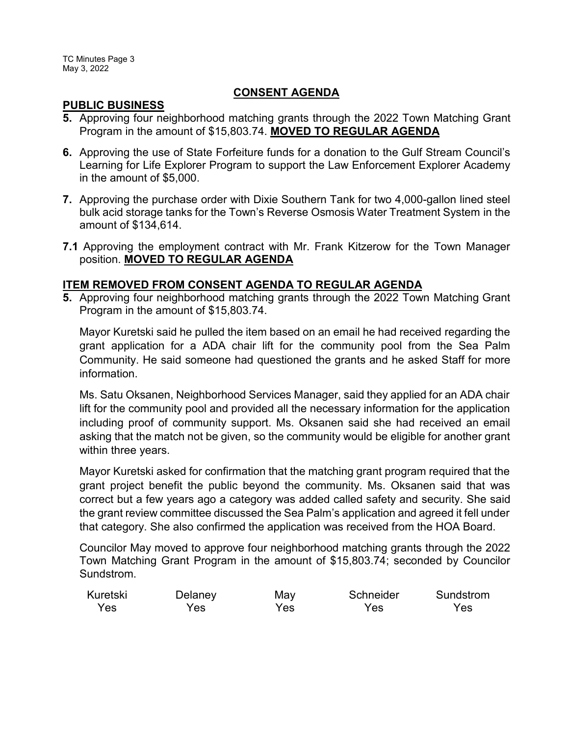### **CONSENT AGENDA**

### **PUBLIC BUSINESS**

- **5.** Approving four neighborhood matching grants through the 2022 Town Matching Grant Program in the amount of \$15,803.74. **MOVED TO REGULAR AGENDA**
- **6.** Approving the use of State Forfeiture funds for a donation to the Gulf Stream Council's Learning for Life Explorer Program to support the Law Enforcement Explorer Academy in the amount of \$5,000.
- **7.** Approving the purchase order with Dixie Southern Tank for two 4,000-gallon lined steel bulk acid storage tanks for the Town's Reverse Osmosis Water Treatment System in the amount of \$134,614.
- **7.1** Approving the employment contract with Mr. Frank Kitzerow for the Town Manager position. **MOVED TO REGULAR AGENDA**

### **ITEM REMOVED FROM CONSENT AGENDA TO REGULAR AGENDA**

**5.** Approving four neighborhood matching grants through the 2022 Town Matching Grant Program in the amount of \$15,803.74.

Mayor Kuretski said he pulled the item based on an email he had received regarding the grant application for a ADA chair lift for the community pool from the Sea Palm Community. He said someone had questioned the grants and he asked Staff for more information.

Ms. Satu Oksanen, Neighborhood Services Manager, said they applied for an ADA chair lift for the community pool and provided all the necessary information for the application including proof of community support. Ms. Oksanen said she had received an email asking that the match not be given, so the community would be eligible for another grant within three years.

Mayor Kuretski asked for confirmation that the matching grant program required that the grant project benefit the public beyond the community. Ms. Oksanen said that was correct but a few years ago a category was added called safety and security. She said the grant review committee discussed the Sea Palm's application and agreed it fell under that category. She also confirmed the application was received from the HOA Board.

Councilor May moved to approve four neighborhood matching grants through the 2022 Town Matching Grant Program in the amount of \$15,803.74; seconded by Councilor Sundstrom.

| Kuretski | Delaney | May | Schneider | Sundstrom |
|----------|---------|-----|-----------|-----------|
| Yes      | Yes     | Yes | Yes       | Yes.      |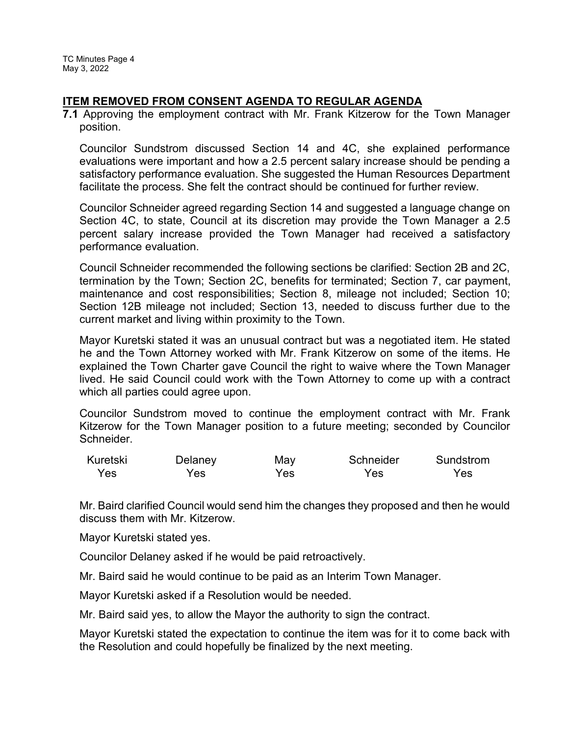TC Minutes Page 4 May 3, 2022

### **ITEM REMOVED FROM CONSENT AGENDA TO REGULAR AGENDA**

**7.1** Approving the employment contract with Mr. Frank Kitzerow for the Town Manager position.

Councilor Sundstrom discussed Section 14 and 4C, she explained performance evaluations were important and how a 2.5 percent salary increase should be pending a satisfactory performance evaluation. She suggested the Human Resources Department facilitate the process. She felt the contract should be continued for further review.

Councilor Schneider agreed regarding Section 14 and suggested a language change on Section 4C, to state, Council at its discretion may provide the Town Manager a 2.5 percent salary increase provided the Town Manager had received a satisfactory performance evaluation.

Council Schneider recommended the following sections be clarified: Section 2B and 2C, termination by the Town; Section 2C, benefits for terminated; Section 7, car payment, maintenance and cost responsibilities; Section 8, mileage not included; Section 10; Section 12B mileage not included; Section 13, needed to discuss further due to the current market and living within proximity to the Town.

Mayor Kuretski stated it was an unusual contract but was a negotiated item. He stated he and the Town Attorney worked with Mr. Frank Kitzerow on some of the items. He explained the Town Charter gave Council the right to waive where the Town Manager lived. He said Council could work with the Town Attorney to come up with a contract which all parties could agree upon.

Councilor Sundstrom moved to continue the employment contract with Mr. Frank Kitzerow for the Town Manager position to a future meeting; seconded by Councilor Schneider.

| Kuretski | Delaney | May | Schneider | Sundstrom |
|----------|---------|-----|-----------|-----------|
| Yes      | Yes     | Yes | Yes       | Yes       |

Mr. Baird clarified Council would send him the changes they proposed and then he would discuss them with Mr. Kitzerow.

Mayor Kuretski stated yes.

Councilor Delaney asked if he would be paid retroactively.

Mr. Baird said he would continue to be paid as an Interim Town Manager.

Mayor Kuretski asked if a Resolution would be needed.

Mr. Baird said yes, to allow the Mayor the authority to sign the contract.

Mayor Kuretski stated the expectation to continue the item was for it to come back with the Resolution and could hopefully be finalized by the next meeting.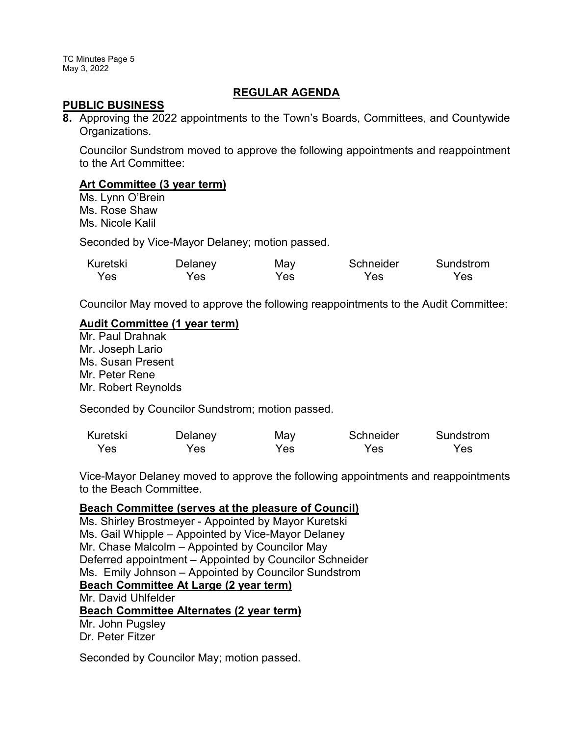TC Minutes Page 5 May 3, 2022

### **REGULAR AGENDA**

#### **PUBLIC BUSINESS**

**8.** Approving the 2022 appointments to the Town's Boards, Committees, and Countywide Organizations.

Councilor Sundstrom moved to approve the following appointments and reappointment to the Art Committee:

### **Art Committee (3 year term)**

Ms. Lynn O'Brein Ms. Rose Shaw Ms. Nicole Kalil

Seconded by Vice-Mayor Delaney; motion passed.

| Kuretski | Delaney | May | Schneider | Sundstrom |
|----------|---------|-----|-----------|-----------|
| Yes      | Yes     | Yes | Yes.      | Yes       |

Councilor May moved to approve the following reappointments to the Audit Committee:

### **Audit Committee (1 year term)**

Mr. Paul Drahnak Mr. Joseph Lario Ms. Susan Present Mr. Peter Rene Mr. Robert Reynolds

Seconded by Councilor Sundstrom; motion passed.

| Kuretski | Delaney | May  | Schneider | Sundstrom |
|----------|---------|------|-----------|-----------|
| Yes      | Yes     | Yes: | Yes.      | Yes       |

Vice-Mayor Delaney moved to approve the following appointments and reappointments to the Beach Committee.

#### **Beach Committee (serves at the pleasure of Council)**

Ms. Shirley Brostmeyer - Appointed by Mayor Kuretski Ms. Gail Whipple – Appointed by Vice-Mayor Delaney Mr. Chase Malcolm – Appointed by Councilor May Deferred appointment – Appointed by Councilor Schneider Ms. Emily Johnson – Appointed by Councilor Sundstrom **Beach Committee At Large (2 year term)** Mr. David Uhlfelder **Beach Committee Alternates (2 year term)** Mr. John Pugsley Dr. Peter Fitzer

Seconded by Councilor May; motion passed.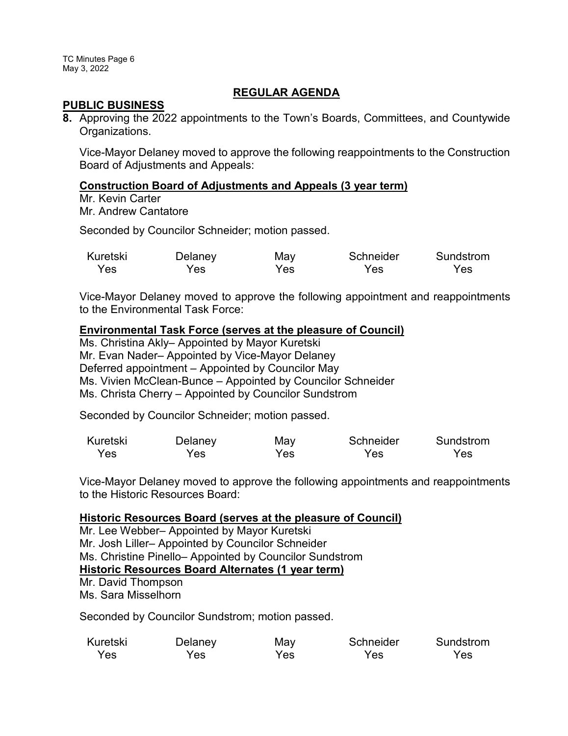TC Minutes Page 6 May 3, 2022

### **REGULAR AGENDA**

#### **PUBLIC BUSINESS**

**8.** Approving the 2022 appointments to the Town's Boards, Committees, and Countywide Organizations.

Vice-Mayor Delaney moved to approve the following reappointments to the Construction Board of Adjustments and Appeals:

### **Construction Board of Adjustments and Appeals (3 year term)**

Mr. Kevin Carter Mr. Andrew Cantatore

Seconded by Councilor Schneider; motion passed.

| Kuretski | Delaney | May | Schneider | Sundstrom |
|----------|---------|-----|-----------|-----------|
| Yes      | Yes     | Yes | Yes       | Yes       |

Vice-Mayor Delaney moved to approve the following appointment and reappointments to the Environmental Task Force:

#### **Environmental Task Force (serves at the pleasure of Council)**

Ms. Christina Akly– Appointed by Mayor Kuretski Mr. Evan Nader– Appointed by Vice-Mayor Delaney Deferred appointment – Appointed by Councilor May Ms. Vivien McClean-Bunce – Appointed by Councilor Schneider Ms. Christa Cherry – Appointed by Councilor Sundstrom

Seconded by Councilor Schneider; motion passed.

| Kuretski | Delaney | May | Schneider | Sundstrom |
|----------|---------|-----|-----------|-----------|
| Yes      | Yes     | Yes | Yes       | Yes.      |

Vice-Mayor Delaney moved to approve the following appointments and reappointments to the Historic Resources Board:

#### **Historic Resources Board (serves at the pleasure of Council)**

Mr. Lee Webber– Appointed by Mayor Kuretski Mr. Josh Liller– Appointed by Councilor Schneider Ms. Christine Pinello– Appointed by Councilor Sundstrom **Historic Resources Board Alternates (1 year term)** Mr. David Thompson

Ms. Sara Misselhorn

Seconded by Councilor Sundstrom; motion passed.

| Kuretski | Delaney | May | Schneider | Sundstrom |
|----------|---------|-----|-----------|-----------|
| Yes      | Yes     | Yes | Yes       | Yes       |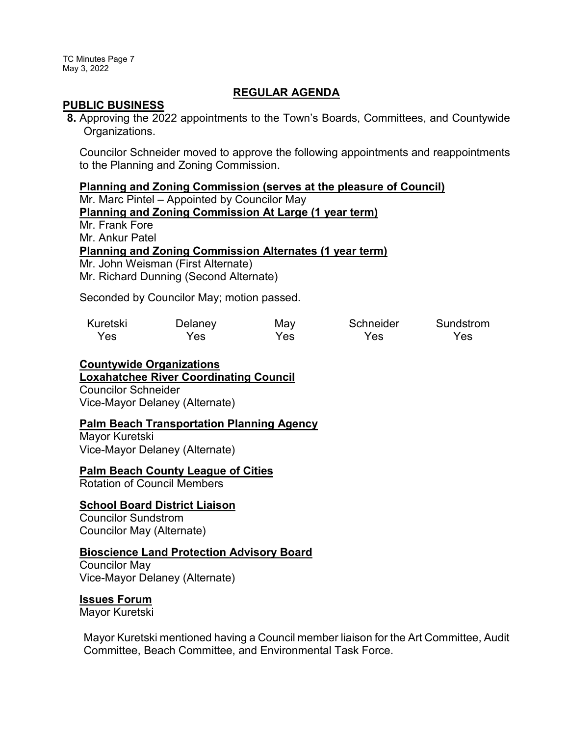TC Minutes Page 7 May 3, 2022

### **REGULAR AGENDA**

#### **PUBLIC BUSINESS**

**8.** Approving the 2022 appointments to the Town's Boards, Committees, and Countywide Organizations.

Councilor Schneider moved to approve the following appointments and reappointments to the Planning and Zoning Commission.

#### **Planning and Zoning Commission (serves at the pleasure of Council)**

Mr. Marc Pintel – Appointed by Councilor May

### **Planning and Zoning Commission At Large (1 year term)**

Mr. Frank Fore

Mr. Ankur Patel

#### **Planning and Zoning Commission Alternates (1 year term)**

Mr. John Weisman (First Alternate) Mr. Richard Dunning (Second Alternate)

Seconded by Councilor May; motion passed.

| Kuretski | Delaney | May | Schneider | Sundstrom |
|----------|---------|-----|-----------|-----------|
| Yes      | Yes     | Yes | Yes       | Yes       |

# **Countywide Organizations**

### **Loxahatchee River Coordinating Council**

Councilor Schneider Vice-Mayor Delaney (Alternate)

# **Palm Beach Transportation Planning Agency**

Mayor Kuretski Vice-Mayor Delaney (Alternate)

#### **Palm Beach County League of Cities**

Rotation of Council Members

#### **School Board District Liaison**

Councilor Sundstrom Councilor May (Alternate)

### **Bioscience Land Protection Advisory Board**

Councilor May Vice-Mayor Delaney (Alternate)

#### **Issues Forum**

Mayor Kuretski

Mayor Kuretski mentioned having a Council member liaison for the Art Committee, Audit Committee, Beach Committee, and Environmental Task Force.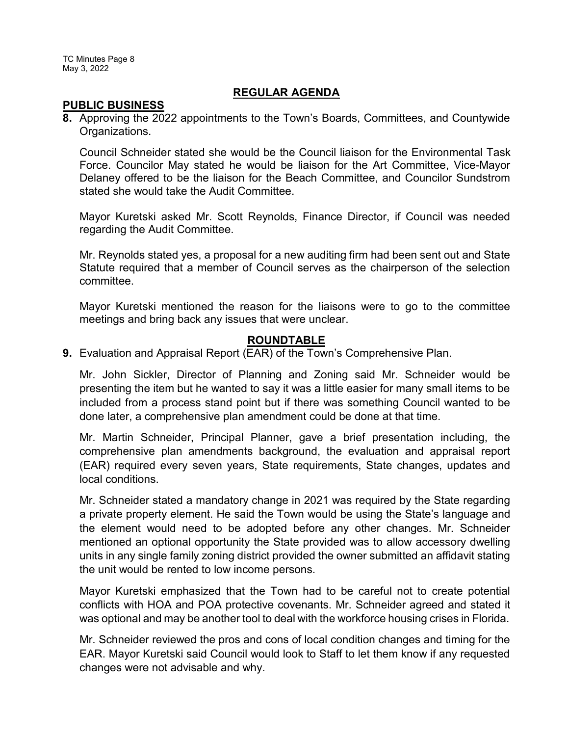TC Minutes Page 8 May 3, 2022

### **REGULAR AGENDA**

#### **PUBLIC BUSINESS**

**8.** Approving the 2022 appointments to the Town's Boards, Committees, and Countywide Organizations.

Council Schneider stated she would be the Council liaison for the Environmental Task Force. Councilor May stated he would be liaison for the Art Committee, Vice-Mayor Delaney offered to be the liaison for the Beach Committee, and Councilor Sundstrom stated she would take the Audit Committee.

Mayor Kuretski asked Mr. Scott Reynolds, Finance Director, if Council was needed regarding the Audit Committee.

Mr. Reynolds stated yes, a proposal for a new auditing firm had been sent out and State Statute required that a member of Council serves as the chairperson of the selection committee.

Mayor Kuretski mentioned the reason for the liaisons were to go to the committee meetings and bring back any issues that were unclear.

### **ROUNDTABLE**

**9.** Evaluation and Appraisal Report (EAR) of the Town's Comprehensive Plan.

Mr. John Sickler, Director of Planning and Zoning said Mr. Schneider would be presenting the item but he wanted to say it was a little easier for many small items to be included from a process stand point but if there was something Council wanted to be done later, a comprehensive plan amendment could be done at that time.

Mr. Martin Schneider, Principal Planner, gave a brief presentation including, the comprehensive plan amendments background, the evaluation and appraisal report (EAR) required every seven years, State requirements, State changes, updates and local conditions.

Mr. Schneider stated a mandatory change in 2021 was required by the State regarding a private property element. He said the Town would be using the State's language and the element would need to be adopted before any other changes. Mr. Schneider mentioned an optional opportunity the State provided was to allow accessory dwelling units in any single family zoning district provided the owner submitted an affidavit stating the unit would be rented to low income persons.

Mayor Kuretski emphasized that the Town had to be careful not to create potential conflicts with HOA and POA protective covenants. Mr. Schneider agreed and stated it was optional and may be another tool to deal with the workforce housing crises in Florida.

Mr. Schneider reviewed the pros and cons of local condition changes and timing for the EAR. Mayor Kuretski said Council would look to Staff to let them know if any requested changes were not advisable and why.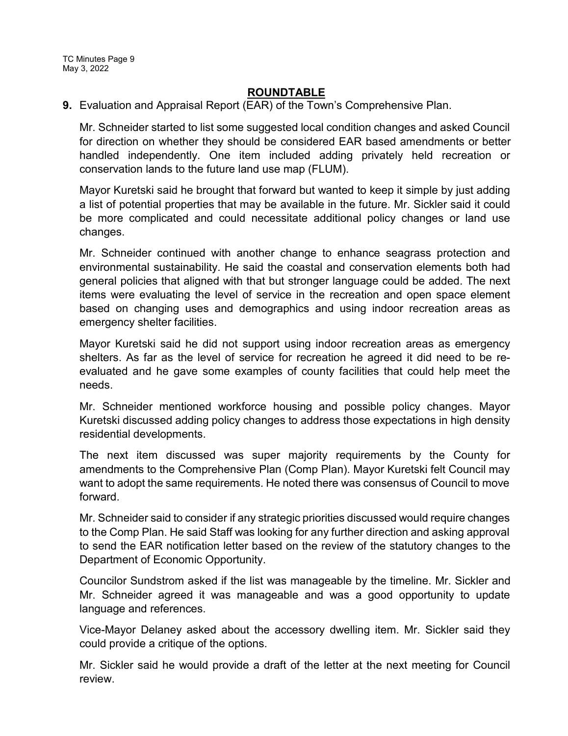## **ROUNDTABLE**

**9.** Evaluation and Appraisal Report (EAR) of the Town's Comprehensive Plan.

Mr. Schneider started to list some suggested local condition changes and asked Council for direction on whether they should be considered EAR based amendments or better handled independently. One item included adding privately held recreation or conservation lands to the future land use map (FLUM).

Mayor Kuretski said he brought that forward but wanted to keep it simple by just adding a list of potential properties that may be available in the future. Mr. Sickler said it could be more complicated and could necessitate additional policy changes or land use changes.

Mr. Schneider continued with another change to enhance seagrass protection and environmental sustainability. He said the coastal and conservation elements both had general policies that aligned with that but stronger language could be added. The next items were evaluating the level of service in the recreation and open space element based on changing uses and demographics and using indoor recreation areas as emergency shelter facilities.

Mayor Kuretski said he did not support using indoor recreation areas as emergency shelters. As far as the level of service for recreation he agreed it did need to be reevaluated and he gave some examples of county facilities that could help meet the needs.

Mr. Schneider mentioned workforce housing and possible policy changes. Mayor Kuretski discussed adding policy changes to address those expectations in high density residential developments.

The next item discussed was super majority requirements by the County for amendments to the Comprehensive Plan (Comp Plan). Mayor Kuretski felt Council may want to adopt the same requirements. He noted there was consensus of Council to move forward.

Mr. Schneider said to consider if any strategic priorities discussed would require changes to the Comp Plan. He said Staff was looking for any further direction and asking approval to send the EAR notification letter based on the review of the statutory changes to the Department of Economic Opportunity.

Councilor Sundstrom asked if the list was manageable by the timeline. Mr. Sickler and Mr. Schneider agreed it was manageable and was a good opportunity to update language and references.

Vice-Mayor Delaney asked about the accessory dwelling item. Mr. Sickler said they could provide a critique of the options.

Mr. Sickler said he would provide a draft of the letter at the next meeting for Council review.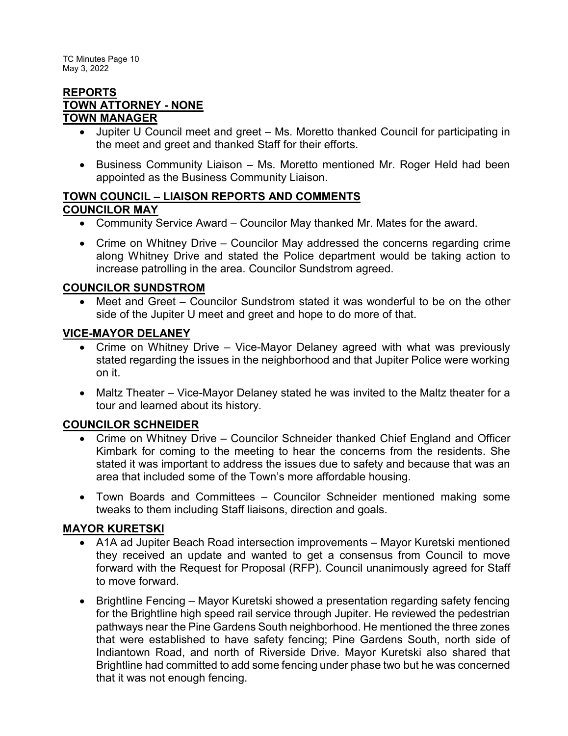TC Minutes Page 10 May 3, 2022

### **REPORTS TOWN ATTORNEY - NONE TOWN MANAGER**

- · Jupiter U Council meet and greet Ms. Moretto thanked Council for participating in the meet and greet and thanked Staff for their efforts.
- · Business Community Liaison Ms. Moretto mentioned Mr. Roger Held had been appointed as the Business Community Liaison.

## **TOWN COUNCIL – LIAISON REPORTS AND COMMENTS COUNCILOR MAY**

- Community Service Award Councilor May thanked Mr. Mates for the award.
- Crime on Whitney Drive Councilor May addressed the concerns regarding crime along Whitney Drive and stated the Police department would be taking action to increase patrolling in the area. Councilor Sundstrom agreed.

# **COUNCILOR SUNDSTROM**

Meet and Greet – Councilor Sundstrom stated it was wonderful to be on the other side of the Jupiter U meet and greet and hope to do more of that.

# **VICE-MAYOR DELANEY**

- Crime on Whitney Drive Vice-Mayor Delaney agreed with what was previously stated regarding the issues in the neighborhood and that Jupiter Police were working on it.
- Maltz Theater Vice-Mayor Delaney stated he was invited to the Maltz theater for a tour and learned about its history.

# **COUNCILOR SCHNEIDER**

- Crime on Whitney Drive Councilor Schneider thanked Chief England and Officer Kimbark for coming to the meeting to hear the concerns from the residents. She stated it was important to address the issues due to safety and because that was an area that included some of the Town's more affordable housing.
- · Town Boards and Committees Councilor Schneider mentioned making some tweaks to them including Staff liaisons, direction and goals.

# **MAYOR KURETSKI**

- · A1A ad Jupiter Beach Road intersection improvements Mayor Kuretski mentioned they received an update and wanted to get a consensus from Council to move forward with the Request for Proposal (RFP). Council unanimously agreed for Staff to move forward.
- · Brightline Fencing Mayor Kuretski showed a presentation regarding safety fencing for the Brightline high speed rail service through Jupiter. He reviewed the pedestrian pathways near the Pine Gardens South neighborhood. He mentioned the three zones that were established to have safety fencing; Pine Gardens South, north side of Indiantown Road, and north of Riverside Drive. Mayor Kuretski also shared that Brightline had committed to add some fencing under phase two but he was concerned that it was not enough fencing.